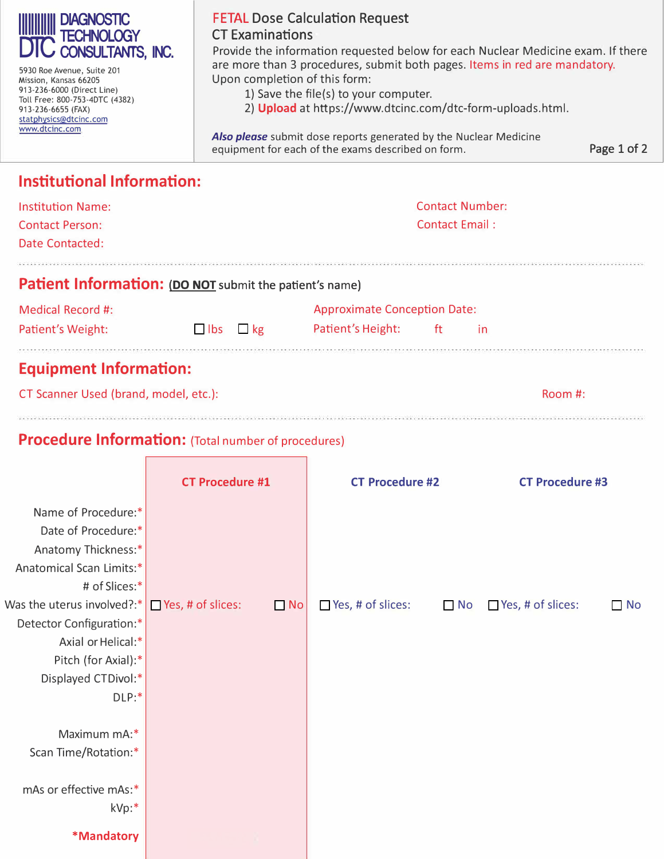| <b>DIAGNOSTIC</b><br><b>TECHNOLOGY</b><br><b>DIC CONSULTANTS, INC.</b><br>5930 Roe Avenue, Suite 201<br>Mission, Kansas 66205<br>913-236-6000 (Direct Line)<br>Toll Free: 800-753-4DTC (4382)<br>913-236-6655 (FAX)<br>statphysics@dtcinc.com<br>www.dtcinc.com | <b>FETAL Dose Calculation Request</b><br><b>CT Examinations</b><br>Provide the information requested below for each Nuclear Medicine exam. If there<br>are more than 3 procedures, submit both pages. Items in red are mandatory.<br>Upon completion of this form:<br>1) Save the file(s) to your computer.<br>2) Upload at https://www.dtcinc.com/dtc-form-uploads.html.<br><b>Also please</b> submit dose reports generated by the Nuclear Medicine<br>equipment for each of the exams described on form.<br>Page 1 of 2 |  |  |  |
|-----------------------------------------------------------------------------------------------------------------------------------------------------------------------------------------------------------------------------------------------------------------|----------------------------------------------------------------------------------------------------------------------------------------------------------------------------------------------------------------------------------------------------------------------------------------------------------------------------------------------------------------------------------------------------------------------------------------------------------------------------------------------------------------------------|--|--|--|
| <b>Institutional Information:</b>                                                                                                                                                                                                                               |                                                                                                                                                                                                                                                                                                                                                                                                                                                                                                                            |  |  |  |
| <b>Institution Name:</b>                                                                                                                                                                                                                                        | <b>Contact Number:</b>                                                                                                                                                                                                                                                                                                                                                                                                                                                                                                     |  |  |  |
| <b>Contact Person:</b><br>Date Contacted:                                                                                                                                                                                                                       | Contact Email:                                                                                                                                                                                                                                                                                                                                                                                                                                                                                                             |  |  |  |
|                                                                                                                                                                                                                                                                 |                                                                                                                                                                                                                                                                                                                                                                                                                                                                                                                            |  |  |  |

## **Patient Information: (DO NOT** submit the patient's name)

| Medical Record #:                                                                                                                                                                        |                      |  | <b>Approximate Conception Date:</b> |   |  |  |
|------------------------------------------------------------------------------------------------------------------------------------------------------------------------------------------|----------------------|--|-------------------------------------|---|--|--|
| Patient's Weight:                                                                                                                                                                        | $\Box$ lbs $\Box$ kg |  | Patient's Height:                   | f |  |  |
| van and the street street street street was and a street the street street man and the street street was a street was a street was a street was a street was a street was a street was a |                      |  |                                     |   |  |  |

## **Equipment Information:**

| CT Scanner Used (brand, model, etc.): | Room #: |
|---------------------------------------|---------|
|                                       |         |

## **Procedure Information:** (Total number of procedures)

 $\Box$ 

|                                                     | <b>CT Procedure #1</b> |           | <b>CT Procedure #2</b>   |           | <b>CT Procedure #3</b>   |           |
|-----------------------------------------------------|------------------------|-----------|--------------------------|-----------|--------------------------|-----------|
| Name of Procedure:*                                 |                        |           |                          |           |                          |           |
| Date of Procedure:*                                 |                        |           |                          |           |                          |           |
| Anatomy Thickness:*                                 |                        |           |                          |           |                          |           |
| Anatomical Scan Limits:*                            |                        |           |                          |           |                          |           |
| # of Slices:*                                       |                        |           |                          |           |                          |           |
| Was the uterus involved?:* $\Box$ Yes, # of slices: |                        | $\Box$ No | $\Box$ Yes, # of slices: | $\Box$ No | $\Box$ Yes, # of slices: | $\Box$ No |
| Detector Configuration:*                            |                        |           |                          |           |                          |           |
| Axial or Helical:*                                  |                        |           |                          |           |                          |           |
| Pitch (for Axial):*                                 |                        |           |                          |           |                          |           |
| Displayed CTDivol:*                                 |                        |           |                          |           |                          |           |
| DLP:                                                |                        |           |                          |           |                          |           |
|                                                     |                        |           |                          |           |                          |           |
| Maximum mA:*                                        |                        |           |                          |           |                          |           |
| Scan Time/Rotation:*                                |                        |           |                          |           |                          |           |
|                                                     |                        |           |                          |           |                          |           |
| mAs or effective mAs:*                              |                        |           |                          |           |                          |           |
| kVp:*                                               |                        |           |                          |           |                          |           |
| *Mandatory                                          |                        |           |                          |           |                          |           |